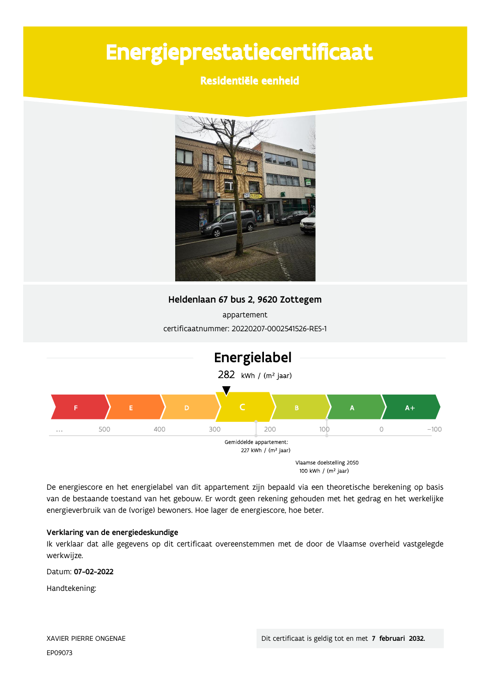# Energieprestatiecertificaat

### Residentiële eenheid



### Heldenlaan 67 bus 2, 9620 Zottegem

appartement certificaatnummer: 20220207-0002541526-RES-1



De energiescore en het energielabel van dit appartement zijn bepaald via een theoretische berekening op basis van de bestaande toestand van het gebouw. Er wordt geen rekening gehouden met het gedrag en het werkelijke energieverbruik van de (vorige) bewoners. Hoe lager de energiescore, hoe beter.

#### Verklaring van de energiedeskundige

Ik verklaar dat alle gegevens op dit certificaat overeenstemmen met de door de Vlaamse overheid vastgelegde werkwijze.

Datum: 07-02-2022

Handtekening: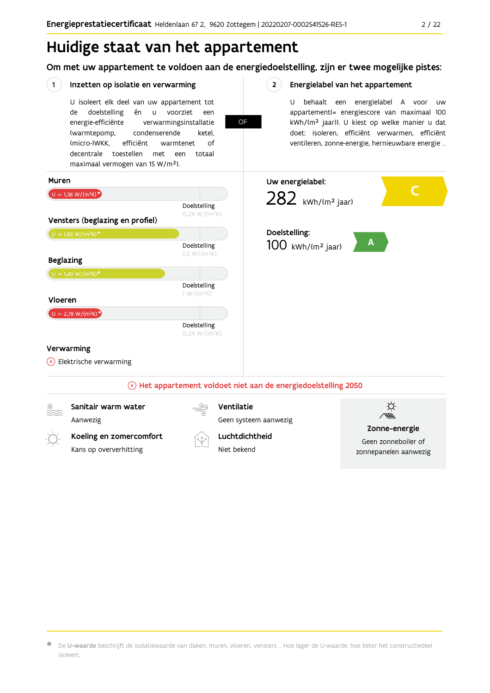# Huidige staat van het appartement

Om met uw appartement te voldoen aan de energiedoelstelling, zijn er twee mogelijke pistes:



 $\star$  De **U-waarde** beschrijft de isolatiewaarde van daken, muren, vloeren, vensters … Hoe lager de U-waarde, hoe beter het constructiedeel isoleert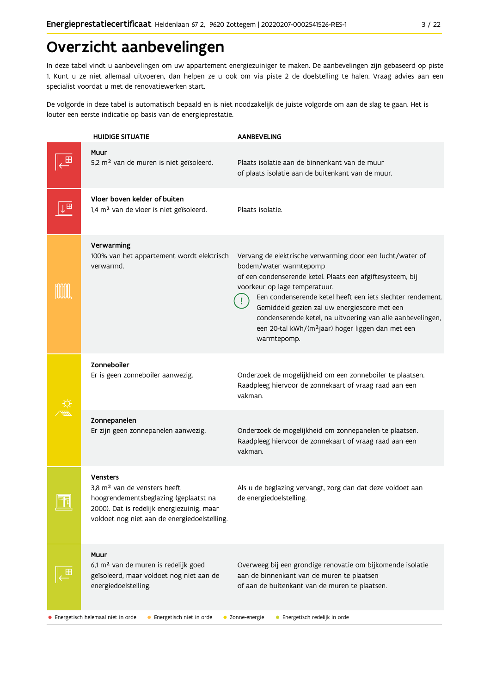# Overzicht aanbevelingen

In deze tabel vindt u aanbevelingen om uw appartement energiezuiniger te maken. De aanbevelingen zijn gebaseerd op piste 1. Kunt u ze niet allemaal uitvoeren, dan helpen ze u ook om via piste 2 de doelstelling te halen. Vraag advies aan een specialist voordat u met de renovatiewerken start.

De volgorde in deze tabel is automatisch bepaald en is niet noodzakelijk de juiste volgorde om aan de slag te gaan. Het is louter een eerste indicatie op basis van de energieprestatie.

|    | <b>HUIDIGE SITUATIE</b>                                                                                                                                                                            | <b>AANBEVELING</b>                                                                                                                                                                                                                                                                                                                                                                                                                             |  |  |  |  |
|----|----------------------------------------------------------------------------------------------------------------------------------------------------------------------------------------------------|------------------------------------------------------------------------------------------------------------------------------------------------------------------------------------------------------------------------------------------------------------------------------------------------------------------------------------------------------------------------------------------------------------------------------------------------|--|--|--|--|
|    | Muur<br>5,2 m <sup>2</sup> van de muren is niet geïsoleerd.                                                                                                                                        | Plaats isolatie aan de binnenkant van de muur<br>of plaats isolatie aan de buitenkant van de muur.                                                                                                                                                                                                                                                                                                                                             |  |  |  |  |
| ⊞  | Vloer boven kelder of buiten<br>1,4 m <sup>2</sup> van de vloer is niet geïsoleerd.                                                                                                                | Plaats isolatie.                                                                                                                                                                                                                                                                                                                                                                                                                               |  |  |  |  |
|    | Verwarming<br>100% van het appartement wordt elektrisch<br>verwarmd.                                                                                                                               | Vervang de elektrische verwarming door een lucht/water of<br>bodem/water warmtepomp<br>of een condenserende ketel. Plaats een afgiftesysteem, bij<br>voorkeur op lage temperatuur.<br>Een condenserende ketel heeft een iets slechter rendement.<br>Gemiddeld gezien zal uw energiescore met een<br>condenserende ketel, na uitvoering van alle aanbevelingen,<br>een 20-tal kWh/(m <sup>2</sup> jaar) hoger liggen dan met een<br>warmtepomp. |  |  |  |  |
|    | Zonneboiler<br>Er is geen zonneboiler aanwezig.                                                                                                                                                    | Onderzoek de mogelijkheid om een zonneboiler te plaatsen.<br>Raadpleeg hiervoor de zonnekaart of vraag raad aan een<br>vakman.                                                                                                                                                                                                                                                                                                                 |  |  |  |  |
|    | Zonnepanelen<br>Er zijn geen zonnepanelen aanwezig.                                                                                                                                                | Onderzoek de mogelijkheid om zonnepanelen te plaatsen.<br>Raadpleeg hiervoor de zonnekaart of vraag raad aan een<br>vakman.                                                                                                                                                                                                                                                                                                                    |  |  |  |  |
| 68 | <b>Vensters</b><br>3,8 m <sup>2</sup> van de vensters heeft<br>hoogrendementsbeglazing (geplaatst na<br>2000). Dat is redelijk energiezuinig, maar<br>voldoet nog niet aan de energiedoelstelling. | Als u de beglazing vervangt, zorg dan dat deze voldoet aan<br>de energiedoelstelling.                                                                                                                                                                                                                                                                                                                                                          |  |  |  |  |
|    | Muur<br>6,1 m <sup>2</sup> van de muren is redelijk goed<br>geïsoleerd, maar voldoet nog niet aan de<br>energiedoelstelling.                                                                       | Overweeg bij een grondige renovatie om bijkomende isolatie<br>aan de binnenkant van de muren te plaatsen<br>of aan de buitenkant van de muren te plaatsen.                                                                                                                                                                                                                                                                                     |  |  |  |  |
|    | • Energetisch helemaal niet in orde<br>• Energetisch niet in orde                                                                                                                                  | · Energetisch redelijk in orde<br>• Zonne-energie                                                                                                                                                                                                                                                                                                                                                                                              |  |  |  |  |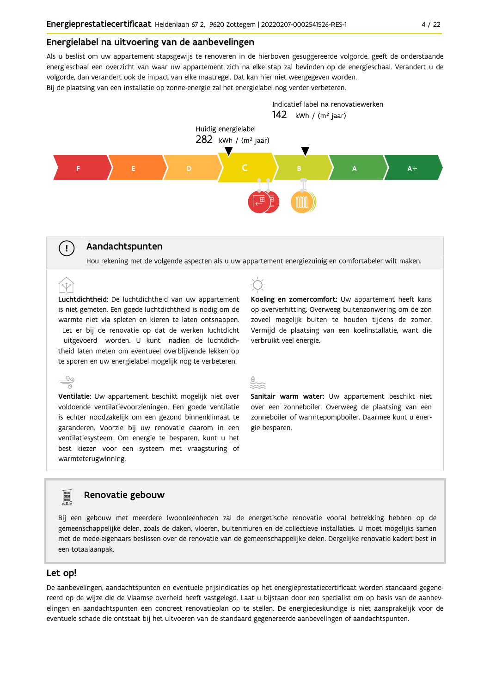#### Energielabel na uitvoering van de aanbevelingen

Als u beslist om uw appartement stapsgewijs te renoveren in de hierboven gesuggereerde volgorde, geeft de onderstaande energieschaal een overzicht van waar uw appartement zich na elke stap zal bevinden op de energieschaal. Verandert u de volgorde, dan verandert ook de impact van elke maatregel. Dat kan hier niet weergegeven worden.

Bij de plaatsing van een installatie op zonne-energie zal het energielabel nog verder verbeteren.



#### Aandachtspunten

 $\left(\begin{array}{c} 1 \end{array}\right)$ 

Hou rekening met de volgende aspecten als u uw appartement energiezuinig en comfortabeler wilt maken.

Luchtdichtheid: De luchtdichtheid van uw appartement is niet gemeten. Een goede luchtdichtheid is nodig om de warmte niet via spleten en kieren te laten ontsnappen. Let er bij de renovatie op dat de werken luchtdicht uitgevoerd worden. U kunt nadien de luchtdichtheid laten meten om eventueel overblijvende lekken op te sporen en uw energielabel mogelijk nog te verbeteren.

 $\stackrel{\circ}{\equiv}$ Ventilatie: Uw appartement beschikt mogelijk niet over voldoende ventilatievoorzieningen. Een goede ventilatie is echter noodzakelijk om een gezond binnenklimaat te garanderen. Voorzie bij uw renovatie daarom in een ventilatiesysteem. Om energie te besparen, kunt u het best kiezen voor een systeem met vraagsturing of warmteterugwinning.



Koeling en zomercomfort: Uw appartement heeft kans op oververhitting. Overweeg buitenzonwering om de zon zoveel mogelijk buiten te houden tijdens de zomer. Vermijd de plaatsing van een koelinstallatie, want die verbruikt veel energie.

| - 1 | P.<br>. . | . . |  |
|-----|-----------|-----|--|
| w   | ٠         | e e |  |

Sanitair warm water: Uw appartement beschikt niet over een zonneboiler. Overweeg de plaatsing van een zonneboiler of warmtepompboiler. Daarmee kunt u energie besparen.

### Renovatie gebouw

Bij een gebouw met meerdere (woon)eenheden zal de energetische renovatie vooral betrekking hebben op de gemeenschappelijke delen, zoals de daken, vloeren, buitenmuren en de collectieve installaties. U moet mogelijks samen met de mede-eigenaars beslissen over de renovatie van de gemeenschappelijke delen. Dergelijke renovatie kadert best in een totaalaanpak.

#### Let op!

**FOR** 

De aanbevelingen, aandachtspunten en eventuele prijsindicaties op het energieprestatiecertificaat worden standaard gegenereerd op de wijze die de Vlaamse overheid heeft vastgelegd. Laat u bijstaan door een specialist om op basis van de aanbevelingen en aandachtspunten een concreet renovatieplan op te stellen. De energiedeskundige is niet aansprakelijk voor de eventuele schade die ontstaat bij het uitvoeren van de standaard gegenereerde aanbevelingen of aandachtspunten.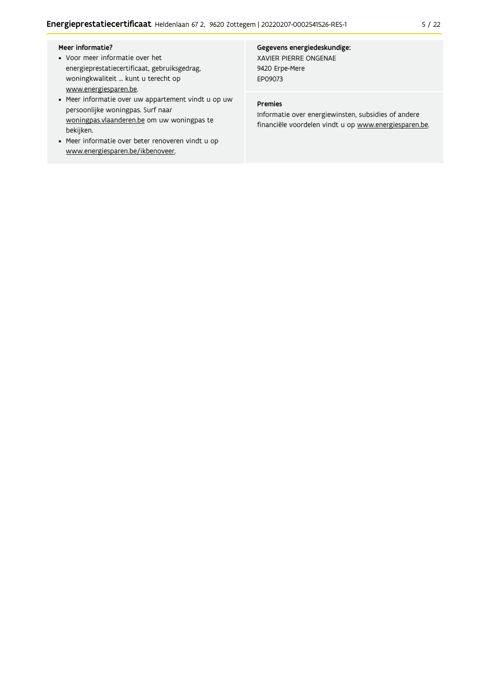- Voor meer informatie over het energieprestatiecertificaat, gebruiksgedrag, woningkwaliteit ... kunt u terecht op www.energiesparen.be.
- Meer informatie over uw appartement vindt u op uw persoonlijke woningpas. Surf naar woningpas.vlaanderen.be om uw woningpas te bekijken.
- Meer informatie over beter renoveren vindt u op www.energiesparen.be/ikbenoveer.

#### Gegevens energiedeskundige: XAVIER PIERRE ONGENAE

9420 Erpe-Mere EP09073

#### Premies

Informatie over energiewinsten, subsidies of andere financiële voordelen vindt u op www.energiesparen.be.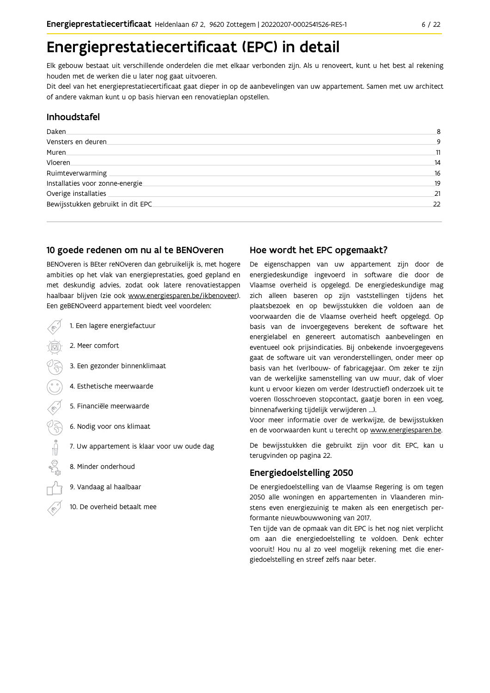# Energieprestatiecertificaat (EPC) in detail

Elk gebouw bestaat uit verschillende onderdelen die met elkaar verbonden zijn. Als u renoveert, kunt u het best al rekening houden met de werken die u later nog gaat uitvoeren.

Dit deel van het energieprestatiecertificaat gaat dieper in op de aanbevelingen van uw appartement. Samen met uw architect of andere vakman kunt u op basis hiervan een renovatieplan opstellen.

#### Inhoudstafel

| Daken.                             | 8  |
|------------------------------------|----|
| Vensters en deuren                 | 9  |
| Muren.                             | 11 |
| Vloeren                            | 14 |
| Ruimteverwarming                   | 16 |
| Installaties voor zonne-energie.   | 19 |
| Overige installaties               | 21 |
| Bewijsstukken gebruikt in dit EPC. | 22 |
|                                    |    |

#### 10 goede redenen om nu al te BENOveren

BENOveren is BEter reNOveren dan gebruikelijk is, met hogere ambities op het vlak van energieprestaties, goed gepland en met deskundig advies, zodat ook latere renovatiestappen haalbaar blijven (zie ook www.energiesparen.be/ikbenoveer). Een geBENOveerd appartement biedt veel voordelen:

- 1. Een lagere energiefactuur
	- 2. Meer comfort
	- 3. Een gezonder binnenklimaat
	- 4. Esthetische meerwaarde
	- 5. Financiële meerwaarde
- $\frac{1}{2}$  1 6. Nodig voor ons klimaat
	- 7. Uw appartement is klaar voor uw oude dag
	- 8. Minder onderhoud
	- 9. Vandaag al haalbaar
	- 10. De overheid betaalt mee

### Hoe wordt het EPC opgemaakt?

De eigenschappen van uw appartement zijn door de energiedeskundige ingevoerd in software die door de Vlaamse overheid is opgelegd. De energiedeskundige mag zich alleen baseren op zijn vaststellingen tijdens het plaatsbezoek en op bewijsstukken die voldoen aan de voorwaarden die de Vlaamse overheid heeft opgelegd. Op basis van de invoergegevens berekent de software het energielabel en genereert automatisch aanbevelingen en eventueel ook prijsindicaties. Bij onbekende invoergegevens gaat de software uit van veronderstellingen, onder meer op basis van het (ver)bouw- of fabricagejaar. Om zeker te zijn van de werkelijke samenstelling van uw muur, dak of vloer kunt u ervoor kiezen om verder (destructief) onderzoek uit te voeren (losschroeven stopcontact, gaatje boren in een voeg, binnenafwerking tijdelijk verwijderen ...).

Voor meer informatie over de werkwijze, de bewijsstukken en de voorwaarden kunt u terecht op www.energiesparen.be.

De bewijsstukken die gebruikt zijn voor dit EPC, kan u terugvinden op pagina 22.

### **Energiedoelstelling 2050**

De energiedoelstelling van de Vlaamse Regering is om tegen 2050 alle woningen en appartementen in Vlaanderen minstens even energiezuinig te maken als een energetisch performante nieuwbouwwoning van 2017.

Ten tijde van de opmaak van dit EPC is het nog niet verplicht om aan die energiedoelstelling te voldoen. Denk echter vooruit! Hou nu al zo veel mogelijk rekening met die energiedoelstelling en streef zelfs naar beter.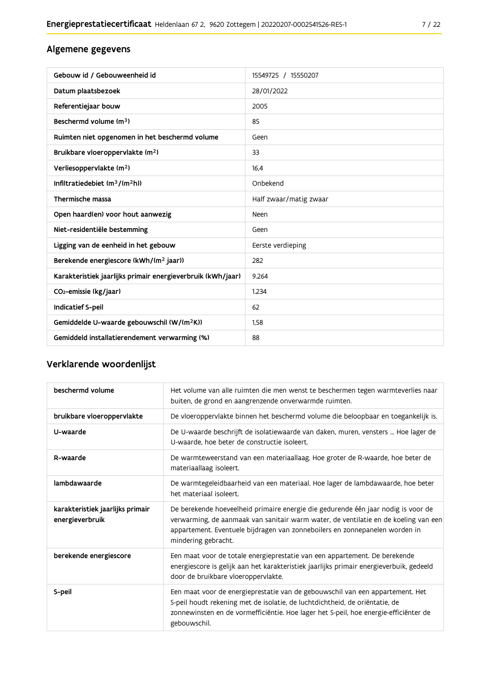### Algemene gegevens

| Gebouw id / Gebouweenheid id                                | 15549725 / 15550207    |
|-------------------------------------------------------------|------------------------|
| Datum plaatsbezoek                                          | 28/01/2022             |
| Referentiejaar bouw                                         | 2005                   |
| Beschermd volume (m <sup>3</sup> )                          | 85                     |
| Ruimten niet opgenomen in het beschermd volume              | Geen                   |
| Bruikbare vloeroppervlakte (m <sup>2</sup> )                | 33                     |
| Verliesoppervlakte (m <sup>2</sup> )                        | 16.4                   |
| Infiltratiedebiet (m <sup>3</sup> /(m <sup>2</sup> h))      | Onbekend               |
| Thermische massa                                            | Half zwaar/matig zwaar |
| Open haard(en) voor hout aanwezig                           | Neen                   |
| Niet-residentiële bestemming                                | Geen                   |
| Ligging van de eenheid in het gebouw                        | Eerste verdieping      |
| Berekende energiescore (kWh/(m <sup>2</sup> jaar))          | 282                    |
| Karakteristiek jaarlijks primair energieverbruik (kWh/jaar) | 9.264                  |
| CO <sub>2</sub> -emissie (kg/jaar)                          | 1.234                  |
| Indicatief S-peil                                           | 62                     |
| Gemiddelde U-waarde gebouwschil (W/(m <sup>2</sup> K))      | 1,58                   |
| Gemiddeld installatierendement verwarming (%)               | 88                     |

### Verklarende woordenlijst

| beschermd volume                                    | Het volume van alle ruimten die men wenst te beschermen tegen warmteverlies naar<br>buiten, de grond en aangrenzende onverwarmde ruimten.                                                                                                                                      |
|-----------------------------------------------------|--------------------------------------------------------------------------------------------------------------------------------------------------------------------------------------------------------------------------------------------------------------------------------|
| bruikbare vloeroppervlakte                          | De vloeroppervlakte binnen het beschermd volume die beloopbaar en toegankelijk is.                                                                                                                                                                                             |
| U-waarde                                            | De U-waarde beschrijft de isolatiewaarde van daken, muren, vensters  Hoe lager de<br>U-waarde, hoe beter de constructie isoleert.                                                                                                                                              |
| R-waarde                                            | De warmteweerstand van een materiaallaag. Hoe groter de R-waarde, hoe beter de<br>materiaallaag isoleert.                                                                                                                                                                      |
| lambdawaarde                                        | De warmtegeleidbaarheid van een materiaal. Hoe lager de lambdawaarde, hoe beter<br>het materiaal isoleert.                                                                                                                                                                     |
| karakteristiek jaarlijks primair<br>energieverbruik | De berekende hoeveelheid primaire energie die gedurende één jaar nodig is voor de<br>verwarming, de aanmaak van sanitair warm water, de ventilatie en de koeling van een<br>appartement. Eventuele bijdragen van zonneboilers en zonnepanelen worden in<br>mindering gebracht. |
| berekende energiescore                              | Een maat voor de totale energieprestatie van een appartement. De berekende<br>energiescore is gelijk aan het karakteristiek jaarlijks primair energieverbuik, gedeeld<br>door de bruikbare vloeroppervlakte.                                                                   |
| S-peil                                              | Een maat voor de energieprestatie van de gebouwschil van een appartement. Het<br>S-peil houdt rekening met de isolatie, de luchtdichtheid, de oriëntatie, de<br>zonnewinsten en de vormefficiëntie. Hoe lager het S-peil, hoe energie-efficiënter de<br>gebouwschil.           |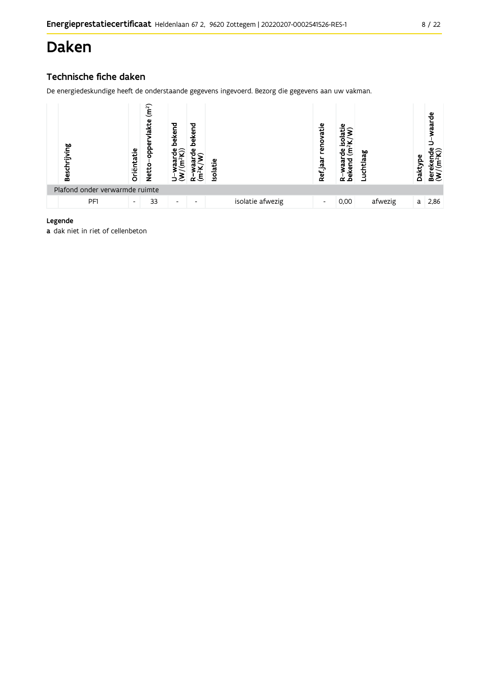# Daken

### Technische fiche daken

De energiedeskundige heeft de onderstaande gegevens ingevoerd. Bezorg die gegevens aan uw vakman.

| Beschrijving                   | Oriëntatie               | (m <sup>2</sup> )<br>ω<br>음<br>Netto | bekend                   | bekend<br>ω<br>Ε<br>r | <b>Isolatie</b> |                  | renovatie<br>Ref jaar    | ݠ<br>beken<br>ω<br>$\alpha$ | ಇ<br>uchtla. | Dakty | raarde<br>ε<br>≃ื้≌ |
|--------------------------------|--------------------------|--------------------------------------|--------------------------|-----------------------|-----------------|------------------|--------------------------|-----------------------------|--------------|-------|---------------------|
| Plafond onder verwarmde ruimte |                          |                                      |                          |                       |                 |                  |                          |                             |              |       |                     |
| PF1                            | $\overline{\phantom{a}}$ | 33                                   | $\overline{\phantom{a}}$ | -                     |                 | isolatie afwezig | $\overline{\phantom{a}}$ | 0,00                        | afwezig      | a     | 2,86                |

#### Legende

a dak niet in riet of cellenbeton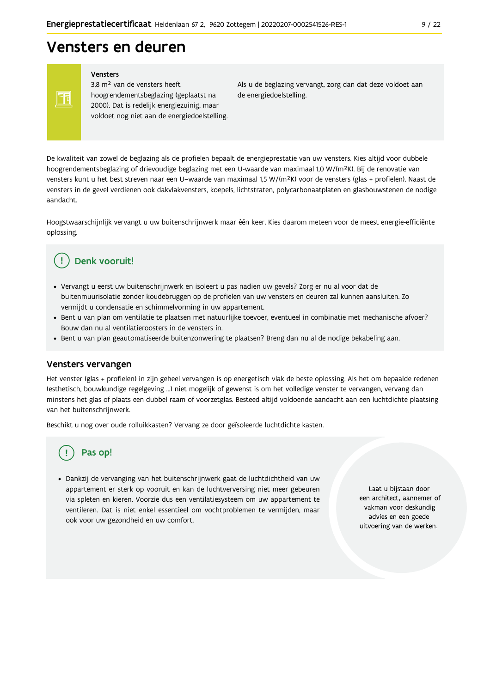# Vensters en deuren

Vensters

Ħ

3,8 m<sup>2</sup> van de vensters heeft hoogrendementsbeglazing (geplaatst na 2000). Dat is redelijk energiezuinig, maar voldoet nog niet aan de energiedoelstelling. Als u de beglazing vervangt, zorg dan dat deze voldoet aan de energiedoelstelling.

De kwaliteit van zowel de beglazing als de profielen bepaalt de energieprestatie van uw vensters. Kies altijd voor dubbele hoogrendementsbeglazing of drievoudige beglazing met een U-waarde van maximaal 1,0 W/(m<sup>2</sup>K). Bij de renovatie van vensters kunt u het best streven naar een U-waarde van maximaal 1,5 W/(m<sup>2</sup>K) voor de vensters (glas + profielen). Naast de vensters in de gevel verdienen ook dakvlakvensters, koepels, lichtstraten, polycarbonaatplaten en glasbouwstenen de nodige aandacht

Hoogstwaarschijnlijk vervangt u uw buitenschrijnwerk maar één keer. Kies daarom meteen voor de meest energie-efficiënte oplossing.

#### Denk vooruit! Ţ

- · Vervangt u eerst uw buitenschrijnwerk en isoleert u pas nadien uw gevels? Zorg er nu al voor dat de buitenmuurisolatie zonder koudebruggen op de profielen van uw vensters en deuren zal kunnen aansluiten. Zo vermijdt u condensatie en schimmelvorming in uw appartement.
- Bent u van plan om ventilatie te plaatsen met natuurlijke toevoer, eventueel in combinatie met mechanische afvoer? Bouw dan nu al ventilatieroosters in de vensters in.
- · Bent u van plan geautomatiseerde buitenzonwering te plaatsen? Breng dan nu al de nodige bekabeling aan.

#### Vensters vervangen

Het venster (glas + profielen) in zijn geheel vervangen is op energetisch vlak de beste oplossing. Als het om bepaalde redenen (esthetisch, bouwkundige regelgeving ...) niet mogelijk of gewenst is om het volledige venster te vervangen, vervang dan minstens het glas of plaats een dubbel raam of voorzetglas. Besteed altijd voldoende aandacht aan een luchtdichte plaatsing van het buitenschrijnwerk.

Beschikt u nog over oude rolluikkasten? Vervang ze door geïsoleerde luchtdichte kasten.

## Pas op!

· Dankzij de vervanging van het buitenschrijnwerk gaat de luchtdichtheid van uw appartement er sterk op vooruit en kan de luchtverversing niet meer gebeuren via spleten en kieren. Voorzie dus een ventilatiesysteem om uw appartement te ventileren. Dat is niet enkel essentieel om vochtproblemen te vermijden, maar ook voor uw gezondheid en uw comfort.

Laat u bijstaan door een architect, aannemer of vakman voor deskundig advies en een goede uitvoering van de werken.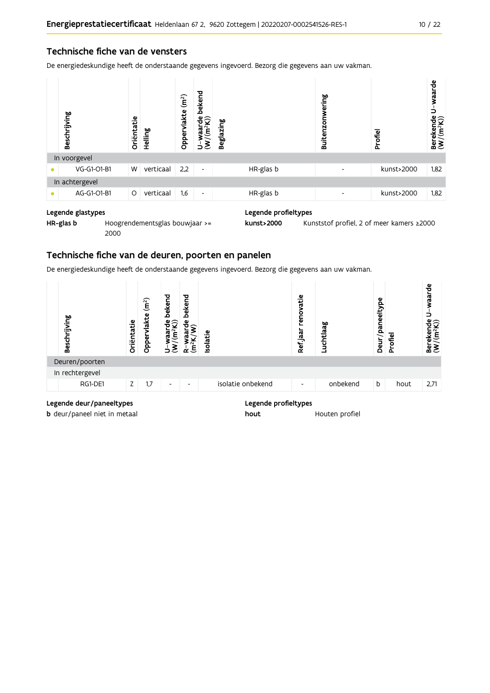De energiedeskundige heeft de onderstaande gegevens ingevoerd. Bezorg die gegevens aan uw vakman.

|           | Beschrijving   | Oriëntatie | Helling   | (m <sup>2</sup> )<br>Oppervlakte | bekend<br>ਚੰ⊊ੇ<br>/(m <sup>2</sup> )<br>waal<br>ξ<br>っ | <b>Beglazing</b> |           | Buitenzonwering          | Profiel    | U-waarde<br>$\begin{array}{ll}\text{Berekende} \cr \langle W/(m^2K) \rangle \cr \end{array}$ |
|-----------|----------------|------------|-----------|----------------------------------|--------------------------------------------------------|------------------|-----------|--------------------------|------------|----------------------------------------------------------------------------------------------|
|           | In voorgevel   |            |           |                                  |                                                        |                  |           |                          |            |                                                                                              |
|           | VG-G1-O1-B1    | W          | verticaal | 2,2                              | $\overline{\phantom{a}}$                               |                  | HR-glas b | $\overline{\phantom{a}}$ | kunst>2000 | 1,82                                                                                         |
|           | In achtergevel |            |           |                                  |                                                        |                  |           |                          |            |                                                                                              |
| $\bullet$ | AG-G1-O1-B1    | $\circ$    | verticaal | 1,6                              | $\overline{\phantom{a}}$                               |                  | HR-glas b | ٠                        | kunst>2000 | 1,82                                                                                         |
|           |                |            |           |                                  |                                                        |                  |           |                          |            |                                                                                              |

#### Legende glastypes

HR-glas b Hoogrendementsglas bouwjaar >= 2000

Legende profieltypes

kunst>2000 Kunststof profiel, 2 of meer kamers ≥2000

#### Technische fiche van de deuren, poorten en panelen

De energiedeskundige heeft de onderstaande gegevens ingevoerd. Bezorg die gegevens aan uw vakman.

| Beschrijving    | Oriëntatie | (m <sup>2</sup> )<br>vlakte<br>Opper | bekend<br>$\frac{a}{2}$<br>$\tilde{\mathsf{E}}$<br><b>Ra</b><br>3, | bekend<br>$\frac{e}{\overline{C}}$<br>൹<br>$\frac{2}{\sqrt{2}}$<br>$\alpha \in$ | <b>Isolatie</b> |                   | renovatie<br>Ref jaar    | Luchtlaag | ω<br>Deur/paneeltyp | Profiel | waarde<br>Berekende<br>$(W/(m^2K))$ |
|-----------------|------------|--------------------------------------|--------------------------------------------------------------------|---------------------------------------------------------------------------------|-----------------|-------------------|--------------------------|-----------|---------------------|---------|-------------------------------------|
| Deuren/poorten  |            |                                      |                                                                    |                                                                                 |                 |                   |                          |           |                     |         |                                     |
| In rechtergevel |            |                                      |                                                                    |                                                                                 |                 |                   |                          |           |                     |         |                                     |
| RG1-DE1         | Z.         | 1,7                                  | $\overline{\phantom{a}}$                                           | ٠                                                                               |                 | isolatie onbekend | $\overline{\phantom{a}}$ | onbekend  | b                   | hout    | 2,71                                |
|                 |            |                                      |                                                                    |                                                                                 |                 |                   |                          |           |                     |         |                                     |

#### Legende deur/paneeltypes

**b** deur/paneel niet in metaal

#### Legende profieltypes

hout Houten profiel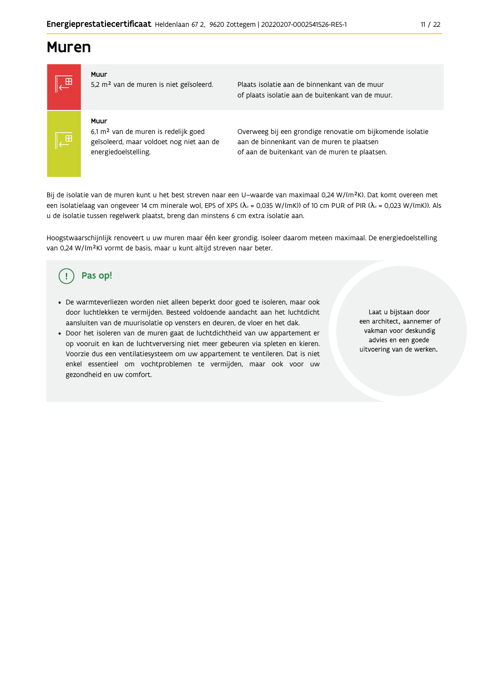# **Muren**



5,2 m<sup>2</sup> van de muren is niet geïsoleerd.

Plaats isolatie aan de binnenkant van de muur of plaats isolatie aan de buitenkant van de muur.

#### Muur

Muur

6,1 m<sup>2</sup> van de muren is redelijk goed geïsoleerd, maar voldoet nog niet aan de energiedoelstelling.

Overweeg bij een grondige renovatie om bijkomende isolatie aan de binnenkant van de muren te plaatsen of aan de buitenkant van de muren te plaatsen.

Bij de isolatie van de muren kunt u het best streven naar een U-waarde van maximaal 0,24 W/(m<sup>2</sup>K). Dat komt overeen met een isolatielaag van ongeveer 14 cm minerale wol, EPS of XPS ( $\lambda_a$  = 0,035 W/(mK)) of 10 cm PUR of PIR ( $\lambda_a$  = 0,023 W/(mK)). Als u de isolatie tussen regelwerk plaatst, breng dan minstens 6 cm extra isolatie aan.

Hoogstwaarschijnlijk renoveert u uw muren maar één keer grondig. Isoleer daarom meteen maximaal. De energiedoelstelling van 0,24 W/(m<sup>2</sup>K) vormt de basis, maar u kunt altijd streven naar beter.

#### Pas op! ( ∣

- De warmteverliezen worden niet alleen beperkt door goed te isoleren, maar ook door luchtlekken te vermijden. Besteed voldoende aandacht aan het luchtdicht aansluiten van de muurisolatie op vensters en deuren, de vloer en het dak.
- · Door het isoleren van de muren gaat de luchtdichtheid van uw appartement er op vooruit en kan de luchtverversing niet meer gebeuren via spleten en kieren. Voorzie dus een ventilatiesysteem om uw appartement te ventileren. Dat is niet enkel essentieel om vochtproblemen te vermijden, maar ook voor uw gezondheid en uw comfort.

Laat u biistaan door een architect, aannemer of vakman voor deskundig advies en een goede uitvoering van de werken.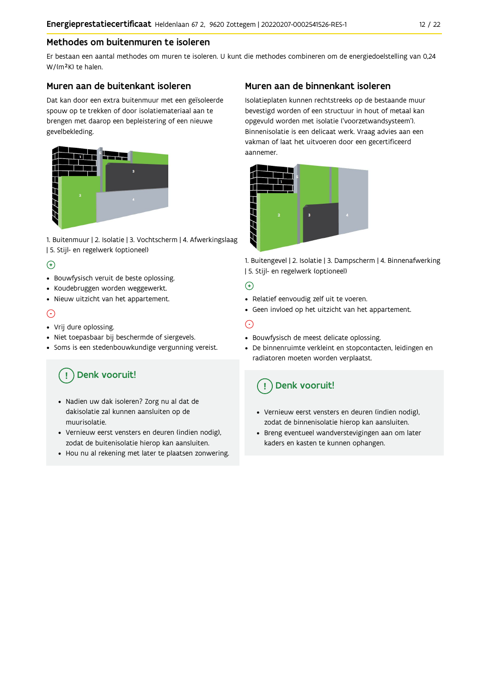### Methodes om buitenmuren te isoleren

Er bestaan een aantal methodes om muren te isoleren. U kunt die methodes combineren om de energiedoelstelling van 0,24 W/(m<sup>2</sup>K) te halen.

#### Muren aan de buitenkant isoleren

Dat kan door een extra buitenmuur met een geïsoleerde spouw op te trekken of door isolatiemateriaal aan te brengen met daarop een bepleistering of een nieuwe gevelbekleding.



1. Buitenmuur | 2. Isolatie | 3. Vochtscherm | 4. Afwerkingslaag | 5. Stijl- en regelwerk (optioneel)

### $\bigoplus$

- Bouwfysisch veruit de beste oplossing.
- Koudebruggen worden weggewerkt.
- · Nieuw uitzicht van het appartement.

### $\odot$

- Vrij dure oplossing.
- · Niet toepasbaar bij beschermde of siergevels.
- Soms is een stedenbouwkundige vergunning vereist.

# Denk vooruit!

- · Nadien uw dak isoleren? Zorg nu al dat de dakisolatie zal kunnen aansluiten op de muurisolatie.
- · Vernieuw eerst vensters en deuren (indien nodig), zodat de buitenisolatie hierop kan aansluiten.
- Hou nu al rekening met later te plaatsen zonwering.

### Muren aan de binnenkant isoleren

Isolatieplaten kunnen rechtstreeks op de bestaande muur bevestigd worden of een structuur in hout of metaal kan opgevuld worden met isolatie ('voorzetwandsysteem'). Binnenisolatie is een delicaat werk. Vraag advies aan een vakman of laat het uitvoeren door een gecertificeerd aannemer



1. Buitengevel | 2. Isolatie | 3. Dampscherm | 4. Binnenafwerking | 5. Stijl- en regelwerk (optioneel)

### $\bigoplus$

- Relatief eenvoudig zelf uit te voeren.
- Geen invloed op het uitzicht van het appartement.

### ⊝

- Bouwfysisch de meest delicate oplossing.
- · De binnenruimte verkleint en stopcontacten, leidingen en radiatoren moeten worden verplaatst.

## Denk vooruit!

- Vernieuw eerst vensters en deuren (indien nodig), zodat de binnenisolatie hierop kan aansluiten.
- · Breng eventueel wandverstevigingen aan om later kaders en kasten te kunnen ophangen.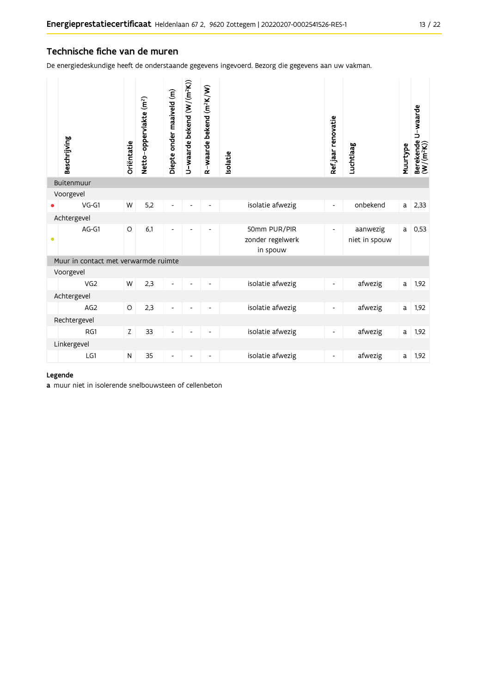#### Technische fiche van de muren

De energiedeskundige heeft de onderstaande gegevens ingevoerd. Bezorg die gegevens aan uw vakman.

|           | Beschrijving                         | Oriëntatie | Netto-oppervlakte (m <sup>2</sup> ) | Diepte onder maaiveld (m)    | U-waarde bekend (W/(m <sup>2</sup> K)) | R-waarde bekend (m <sup>2</sup> K/W) | <b>Isolatie</b>                              | Ref.jaar renovatie       | Luchtlaag                 | Muurtype | Berekende U-waarde<br>(W/(m <sup>2</sup> K)) |
|-----------|--------------------------------------|------------|-------------------------------------|------------------------------|----------------------------------------|--------------------------------------|----------------------------------------------|--------------------------|---------------------------|----------|----------------------------------------------|
|           | Buitenmuur                           |            |                                     |                              |                                        |                                      |                                              |                          |                           |          |                                              |
|           | Voorgevel<br>$VG-G1$                 | W          | 5,2                                 | $\overline{a}$               |                                        |                                      | isolatie afwezig                             | $\overline{\phantom{a}}$ | onbekend                  | a l      | 2,33                                         |
|           | Achtergevel                          |            |                                     |                              |                                        |                                      |                                              |                          |                           |          |                                              |
| $\bullet$ | AG-G1                                | $\circ$    | 6,1                                 | ۳                            |                                        |                                      | 50mm PUR/PIR<br>zonder regelwerk<br>in spouw | $\overline{\phantom{a}}$ | aanwezig<br>niet in spouw | a        | 0,53                                         |
|           | Muur in contact met verwarmde ruimte |            |                                     |                              |                                        |                                      |                                              |                          |                           |          |                                              |
|           | Voorgevel                            |            |                                     |                              |                                        |                                      |                                              |                          |                           |          |                                              |
|           | VG <sub>2</sub>                      | W          | 2,3                                 |                              |                                        |                                      | isolatie afwezig                             | $\overline{\phantom{a}}$ | afwezig                   | a        | 1,92                                         |
|           | Achtergevel                          |            |                                     |                              |                                        |                                      |                                              |                          |                           |          |                                              |
|           | AG <sub>2</sub>                      | $\circ$    | 2,3                                 | Ĭ.                           |                                        |                                      | isolatie afwezig                             | $\overline{\phantom{a}}$ | afwezig                   | a        | 1,92                                         |
|           | Rechtergevel                         |            |                                     |                              |                                        |                                      |                                              |                          |                           |          |                                              |
|           | RG1                                  | Z          | 33                                  | $\qquad \qquad \blacksquare$ |                                        | $\overline{\phantom{a}}$             | isolatie afwezig                             | $\overline{\phantom{a}}$ | afwezig                   | a        | 1,92                                         |
|           | Linkergevel                          |            |                                     |                              |                                        |                                      |                                              |                          |                           |          |                                              |
|           | LG1                                  | ${\sf N}$  | 35                                  | $\overline{\phantom{0}}$     | $\overline{a}$                         | $\overline{\phantom{a}}$             | isolatie afwezig                             | $\overline{\phantom{a}}$ | afwezig                   | a        | 1,92                                         |

#### Legende

a muur niet in isolerende snelbouwsteen of cellenbeton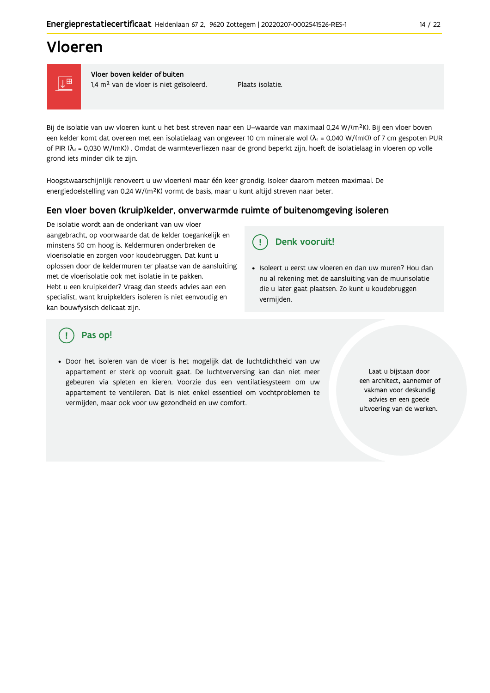# Vloeren



Vloer boven kelder of buiten 1,4 m<sup>2</sup> van de vloer is niet geïsoleerd.

Plaats isolatie

Bij de isolatie van uw vloeren kunt u het best streven naar een U-waarde van maximaal 0,24 W/(m<sup>2</sup>K). Bij een vloer boven een kelder komt dat overeen met een isolatielaag van ongeveer 10 cm minerale wol ( $\lambda_d$  = 0,040 W/(mK)) of 7 cm gespoten PUR of PIR ( $\lambda_a$  = 0,030 W/(mK)). Omdat de warmteverliezen naar de grond beperkt zijn, hoeft de isolatielaag in vloeren op volle grond iets minder dik te zijn.

Hoogstwaarschijnlijk renoveert u uw vloer(en) maar één keer grondig. Isoleer daarom meteen maximaal. De energiedoelstelling van 0,24 W/(m<sup>2</sup>K) vormt de basis, maar u kunt altijd streven naar beter.

### Een vloer boven (kruip) kelder, onverwarmde ruimte of buitenomgeving isoleren

De isolatie wordt aan de onderkant van uw vloer aangebracht, op voorwaarde dat de kelder toegankelijk en minstens 50 cm hoog is. Keldermuren onderbreken de vloerisolatie en zorgen voor koudebruggen. Dat kunt u oplossen door de keldermuren ter plaatse van de aansluiting met de vloerisolatie ook met isolatie in te pakken. Hebt u een kruipkelder? Vraag dan steeds advies aan een specialist, want kruipkelders isoleren is niet eenvoudig en kan bouwfysisch delicaat zijn.

#### Denk vooruit! Ţ.

· Isoleert u eerst uw vloeren en dan uw muren? Hou dan nu al rekening met de aansluiting van de muurisolatie die u later gaat plaatsen. Zo kunt u koudebruggen vermijden.

### Pas op!

• Door het isoleren van de vloer is het mogelijk dat de luchtdichtheid van uw appartement er sterk op vooruit gaat. De luchtverversing kan dan niet meer gebeuren via spleten en kieren. Voorzie dus een ventilatiesysteem om uw appartement te ventileren. Dat is niet enkel essentieel om vochtproblemen te vermijden, maar ook voor uw gezondheid en uw comfort.

Laat u bijstaan door een architect, aannemer of vakman voor deskundig advies en een goede uitvoering van de werken.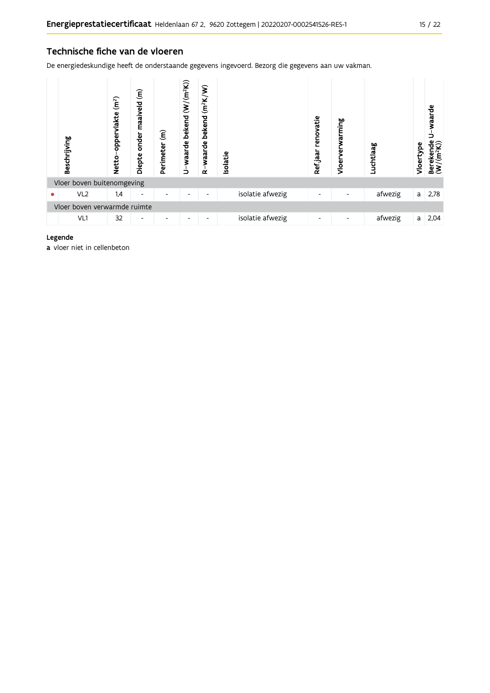#### Technische fiche van de vloeren

De energiedeskundige heeft de onderstaande gegevens ingevoerd. Bezorg die gegevens aan uw vakman.

|   | Beschrijving                 | (m <sup>2</sup> )<br>oppervlakte<br><b>Netto</b> | $\widehat{\boldsymbol{\epsilon}}$<br>maaiveld<br>onder<br>Diepte | $\widehat{\epsilon}$<br>Perimeter | U-waarde bekend (W/(m <sup>2</sup> K)) | $(m^2K/W)$<br>bekend<br>waarde<br>$\alpha$ | Isolatie         | renovatie<br>Refjaar | warming<br>Vloerve | Luchtlaag | Vloertype | waarde<br>Berekende<br>(W/(m <sup>2</sup> K)) |
|---|------------------------------|--------------------------------------------------|------------------------------------------------------------------|-----------------------------------|----------------------------------------|--------------------------------------------|------------------|----------------------|--------------------|-----------|-----------|-----------------------------------------------|
|   | Vloer boven buitenomgeving   |                                                  |                                                                  |                                   |                                        |                                            |                  |                      |                    |           |           |                                               |
| ٠ | VL <sub>2</sub>              | 1.4                                              | ٠                                                                |                                   | ۰                                      | ٠                                          | isolatie afwezig | -                    |                    | afwezig   | a         | 2,78                                          |
|   | Vloer boven verwarmde ruimte |                                                  |                                                                  |                                   |                                        |                                            |                  |                      |                    |           |           |                                               |
|   | VL1                          | 32                                               | ۰                                                                |                                   | ٠                                      | ٠                                          | isolatie afwezig | -                    |                    | afwezig   | a         | 2,04                                          |

#### Legende

a vloer niet in cellenbeton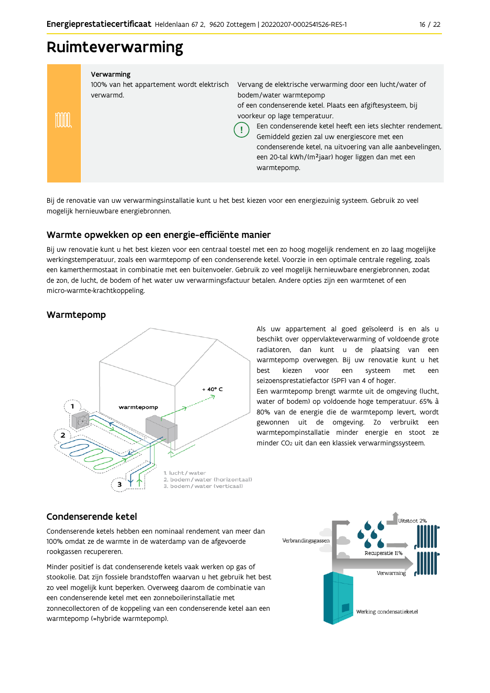# Ruimteverwarming

| Verwarming<br>100% van het appartement wordt elektrisch<br>verwarmd. | Vervang de elektrische verwarming door een lucht/water of<br>bodem/water warmtepomp<br>of een condenserende ketel. Plaats een afgiftesysteem, bij<br>voorkeur op lage temperatuur.<br>Een condenserende ketel heeft een jets slechter rendement.<br>Gemiddeld gezien zal uw energiescore met een<br>condenserende ketel, na uitvoering van alle aanbevelingen,<br>een 20-tal kWh/(m <sup>2</sup> jaar) hoger liggen dan met een<br>warmtepomp. |
|----------------------------------------------------------------------|------------------------------------------------------------------------------------------------------------------------------------------------------------------------------------------------------------------------------------------------------------------------------------------------------------------------------------------------------------------------------------------------------------------------------------------------|

Bij de renovatie van uw verwarmingsinstallatie kunt u het best kiezen voor een energiezuinig systeem. Gebruik zo veel mogelijk hernieuwbare energiebronnen.

#### Warmte opwekken op een energie-efficiënte manier

Bij uw renovatie kunt u het best kiezen voor een centraal toestel met een zo hoog mogelijk rendement en zo laag mogelijke werkingstemperatuur, zoals een warmtepomp of een condenserende ketel. Voorzie in een optimale centrale regeling, zoals een kamerthermostaat in combinatie met een buitenvoeler. Gebruik zo veel mogelijk hernieuwbare energiebronnen, zodat de zon, de lucht, de bodem of het water uw verwarmingsfactuur betalen. Andere opties zijn een warmtenet of een micro-warmte-krachtkoppeling.

#### Warmtepomp



Als uw appartement al goed geïsoleerd is en als u beschikt over oppervlakteverwarming of voldoende grote radiatoren, dan kunt u de plaatsing van een warmtepomp overwegen. Bij uw renovatie kunt u het hest kiezen een systeem voor met een seizoensprestatiefactor (SPF) van 4 of hoger.

Een warmtepomp brengt warmte uit de omgeving (lucht, water of bodem) op voldoende hoge temperatuur. 65% à 80% van de energie die de warmtepomp levert, wordt gewonnen uit de omgeving. Zo verbruikt een warmtepompinstallatie minder energie en stoot ze minder CO<sub>2</sub> uit dan een klassiek verwarmingssysteem.

#### Condenserende ketel

Condenserende ketels hebben een nominaal rendement van meer dan 100% omdat ze de warmte in de waterdamp van de afgevoerde rookgassen recupereren.

Minder positief is dat condenserende ketels vaak werken op gas of stookolie. Dat zijn fossiele brandstoffen waarvan u het gebruik het best zo veel mogelijk kunt beperken. Overweeg daarom de combinatie van een condenserende ketel met een zonneboilerinstallatie met zonnecollectoren of de koppeling van een condenserende ketel aan een warmtepomp (=hybride warmtepomp).

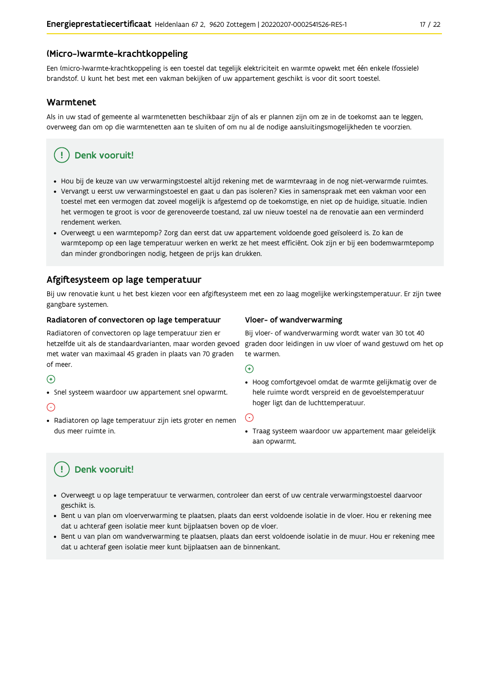#### (Micro-)warmte-krachtkoppeling

Een (micro-)warmte-krachtkoppeling is een toestel dat tegelijk elektriciteit en warmte opwekt met één enkele (fossiele) brandstof. U kunt het best met een vakman bekijken of uw appartement geschikt is voor dit soort toestel.

#### Warmtenet

Als in uw stad of gemeente al warmtenetten beschikbaar zijn of als er plannen zijn om ze in de toekomst aan te leggen, overweeg dan om op die warmtenetten aan te sluiten of om nu al de nodige aansluitingsmogelijkheden te voorzien.

## Denk vooruit!

- · Hou bij de keuze van uw verwarmingstoestel altijd rekening met de warmtevraag in de nog niet-verwarmde ruimtes.
- Vervangt u eerst uw verwarmingstoestel en gaat u dan pas isoleren? Kies in samenspraak met een vakman voor een toestel met een vermogen dat zoveel mogelijk is afgestemd op de toekomstige, en niet op de huidige, situatie. Indien het vermogen te groot is voor de gerenoveerde toestand, zal uw nieuw toestel na de renovatie aan een verminderd rendement werken.
- · Overweegt u een warmtepomp? Zorg dan eerst dat uw appartement voldoende goed geïsoleerd is. Zo kan de warmtepomp op een lage temperatuur werken en werkt ze het meest efficiënt. Ook zijn er bij een bodemwarmtepomp dan minder grondboringen nodig, hetgeen de prijs kan drukken.

#### Afgiftesysteem op lage temperatuur

Bij uw renovatie kunt u het best kiezen voor een afgiftesysteem met een zo laag mogelijke werkingstemperatuur. Er zijn twee gangbare systemen.

#### Radiatoren of convectoren op lage temperatuur

Radiatoren of convectoren op lage temperatuur zien er hetzelfde uit als de standaardvarianten, maar worden gevoed met water van maximaal 45 graden in plaats van 70 graden of meer.

#### $\bigoplus$

• Snel systeem waardoor uw appartement snel opwarmt.

#### $\bigodot$

· Radiatoren op lage temperatuur zijn iets groter en nemen dus meer ruimte in.

#### Vloer- of wandverwarming

Bij vloer- of wandverwarming wordt water van 30 tot 40 graden door leidingen in uw vloer of wand gestuwd om het op te warmen.

#### $\bigoplus$

· Hoog comfortgevoel omdat de warmte gelijkmatig over de hele ruimte wordt verspreid en de gevoelstemperatuur hoger ligt dan de luchttemperatuur.

#### ∈

· Traag systeem waardoor uw appartement maar geleidelijk aan opwarmt.

## Denk vooruit!

- · Overweegt u op lage temperatuur te verwarmen, controleer dan eerst of uw centrale verwarmingstoestel daarvoor geschikt is.
- · Bent u van plan om vloerverwarming te plaatsen, plaats dan eerst voldoende isolatie in de vloer. Hou er rekening mee dat u achteraf geen isolatie meer kunt bijplaatsen boven op de vloer.
- · Bent u van plan om wandverwarming te plaatsen, plaats dan eerst voldoende isolatie in de muur. Hou er rekening mee dat u achteraf geen isolatie meer kunt bijplaatsen aan de binnenkant.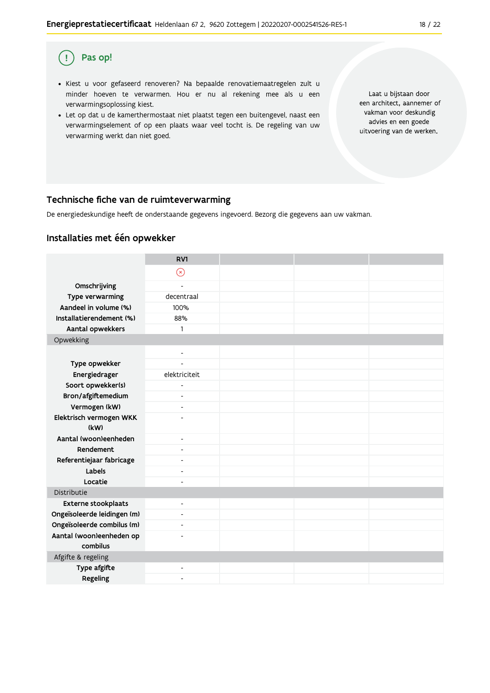#### Pas op!  $\left( \begin{array}{c} 1 \end{array} \right)$

- · Kiest u voor gefaseerd renoveren? Na bepaalde renovatiemaatregelen zult u minder hoeven te verwarmen. Hou er nu al rekening mee als u een verwarmingsoplossing kiest.
- . Let op dat u de kamerthermostaat niet plaatst tegen een buitengevel, naast een verwarmingselement of op een plaats waar veel tocht is. De regeling van uw verwarming werkt dan niet goed.

Laat u bijstaan door een architect, aannemer of vakman voor deskundig advies en een goede uitvoering van de werken.

#### Technische fiche van de ruimteverwarming

De energiedeskundige heeft de onderstaande gegevens ingevoerd. Bezorg die gegevens aan uw vakman.

#### Installaties met één opwekker

|                                      | RV1                          |  |  |
|--------------------------------------|------------------------------|--|--|
|                                      | $\circledast$                |  |  |
| Omschrijving                         | $\overline{\phantom{a}}$     |  |  |
| Type verwarming                      | decentraal                   |  |  |
| Aandeel in volume (%)                | 100%                         |  |  |
| Installatierendement (%)             | 88%                          |  |  |
| Aantal opwekkers                     | 1                            |  |  |
| Opwekking                            |                              |  |  |
|                                      | $\overline{\phantom{a}}$     |  |  |
| Type opwekker                        |                              |  |  |
| Energiedrager                        | elektriciteit                |  |  |
| Soort opwekker(s)                    | L.                           |  |  |
| Bron/afgiftemedium                   | $\overline{\phantom{a}}$     |  |  |
| Vermogen (kW)                        | $\qquad \qquad \blacksquare$ |  |  |
| Elektrisch vermogen WKK              | $\overline{a}$               |  |  |
| (kW)                                 |                              |  |  |
| Aantal (woon)eenheden                | $\overline{\phantom{a}}$     |  |  |
| Rendement                            | $\overline{\phantom{a}}$     |  |  |
| Referentiejaar fabricage             | ٠                            |  |  |
| Labels                               | ٠                            |  |  |
| Locatie                              | ÷                            |  |  |
| Distributie                          |                              |  |  |
| Externe stookplaats                  | $\overline{\phantom{0}}$     |  |  |
| Ongeïsoleerde leidingen (m)          | $\overline{\phantom{a}}$     |  |  |
| Ongeïsoleerde combilus (m)           | $\overline{\phantom{a}}$     |  |  |
| Aantal (woon)eenheden op<br>combilus |                              |  |  |
| Afgifte & regeling                   |                              |  |  |
| Type afgifte                         | $\qquad \qquad \blacksquare$ |  |  |
| Regeling                             | ٠                            |  |  |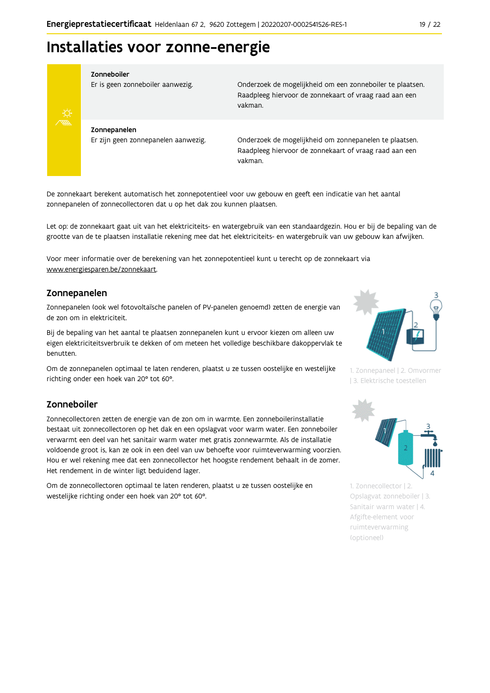# Installaties voor zonne-energie



#### Zonneboiler

Er is geen zonneboiler aanwezig.

Onderzoek de mogelijkheid om een zonneboiler te plaatsen. Raadpleeg hiervoor de zonnekaart of vraag raad aan een vakman.

Zonnepanelen Er zijn geen zonnepanelen aanwezig.

Onderzoek de mogelijkheid om zonnepanelen te plaatsen. Raadpleeg hiervoor de zonnekaart of vraag raad aan een vakman.

De zonnekaart berekent automatisch het zonnepotentieel voor uw gebouw en geeft een indicatie van het aantal zonnepanelen of zonnecollectoren dat u op het dak zou kunnen plaatsen.

Let op: de zonnekaart gaat uit van het elektriciteits- en watergebruik van een standaardgezin. Hou er bij de bepaling van de grootte van de te plaatsen installatie rekening mee dat het elektriciteits- en watergebruik van uw gebouw kan afwijken.

Voor meer informatie over de berekening van het zonnepotentieel kunt u terecht op de zonnekaart via www.energiesparen.be/zonnekaart.

#### Zonnepanelen

Zonnepanelen (ook wel fotovoltaïsche panelen of PV-panelen genoemd) zetten de energie van de zon om in elektriciteit.

Bij de bepaling van het aantal te plaatsen zonnepanelen kunt u ervoor kiezen om alleen uw eigen elektriciteitsverbruik te dekken of om meteen het volledige beschikbare dakoppervlak te benutten.

Om de zonnepanelen optimaal te laten renderen, plaatst u ze tussen oostelijke en westelijke richting onder een hoek van 20° tot 60°.

#### Zonneboiler

Zonnecollectoren zetten de energie van de zon om in warmte. Een zonneboilerinstallatie bestaat uit zonnecollectoren op het dak en een opslagvat voor warm water. Een zonneboiler verwarmt een deel van het sanitair warm water met gratis zonnewarmte. Als de installatie voldoende groot is, kan ze ook in een deel van uw behoefte voor ruimteverwarming voorzien. Hou er wel rekening mee dat een zonnecollector het hoogste rendement behaalt in de zomer. Het rendement in de winter ligt beduidend lager.

Om de zonnecollectoren optimaal te laten renderen, plaatst u ze tussen oostelijke en westelijke richting onder een hoek van 20° tot 60°.



1. Zonnepaneel | 2. Omvormer | 3. Elektrische toestellen



1. Zonnecollector | 2. Opslagvat zonneboiler | 3. Sanitair warm water | 4. Afgifte-element voor ruimteverwarming (optioneel)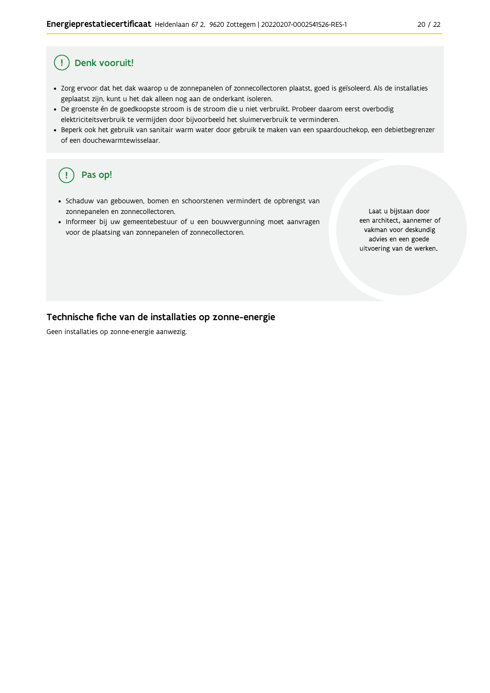#### Ţ Denk vooruit!

- · Zorg ervoor dat het dak waarop u de zonnepanelen of zonnecollectoren plaatst, goed is geïsoleerd. Als de installaties geplaatst zijn, kunt u het dak alleen nog aan de onderkant isoleren.
- · De groenste én de goedkoopste stroom is de stroom die u niet verbruikt. Probeer daarom eerst overbodig elektriciteitsverbruik te vermijden door bijvoorbeeld het sluimerverbruik te verminderen.
- · Beperk ook het gebruik van sanitair warm water door gebruik te maken van een spaardouchekop, een debietbegrenzer of een douchewarmtewisselaar.

#### Pas op! ( !

- · Schaduw van gebouwen, bomen en schoorstenen vermindert de opbrengst van zonnepanelen en zonnecollectoren.
- Informeer bij uw gemeentebestuur of u een bouwvergunning moet aanvragen voor de plaatsing van zonnepanelen of zonnecollectoren.

Laat u bijstaan door een architect, aannemer of vakman voor deskundig advies en een goede uitvoering van de werken.

#### Technische fiche van de installaties op zonne-energie

Geen installaties op zonne-energie aanwezig.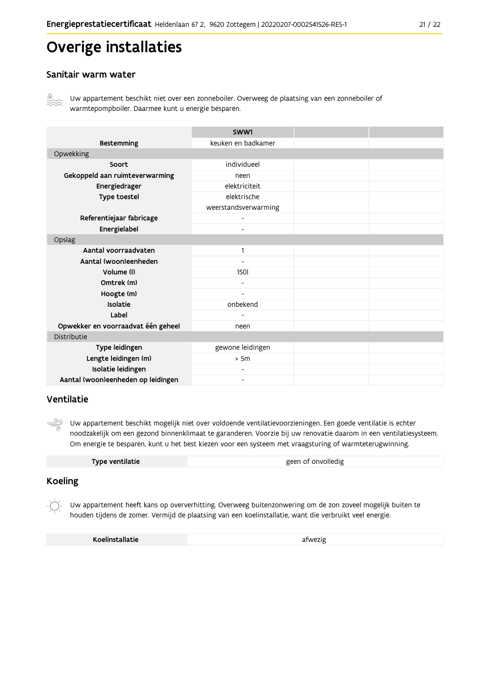# Overige installaties

#### Sanitair warm water



Uw appartement beschikt niet over een zonneboiler. Overweeg de plaatsing van een zonneboiler of warmtepompboiler. Daarmee kunt u energie besparen.

|                                    | SWW1                     |  |
|------------------------------------|--------------------------|--|
| <b>Bestemming</b>                  | keuken en badkamer       |  |
| Opwekking                          |                          |  |
| Soort                              | individueel              |  |
| Gekoppeld aan ruimteverwarming     | neen                     |  |
| Energiedrager                      | elektriciteit            |  |
| Type toestel                       | elektrische              |  |
|                                    | weerstandsverwarming     |  |
| Referentiejaar fabricage           | $\blacksquare$           |  |
| Energielabel                       | $\overline{\phantom{0}}$ |  |
| Opslag                             |                          |  |
| Aantal voorraadvaten               | 1                        |  |
| Aantal (woon)eenheden              |                          |  |
| Volume (I)                         | <b>1501</b>              |  |
| Omtrek (m)                         |                          |  |
| Hoogte (m)                         |                          |  |
| Isolatie                           | onbekend                 |  |
| Label                              |                          |  |
| Opwekker en voorraadvat één geheel | neen                     |  |
| Distributie                        |                          |  |
| Type leidingen                     | gewone leidingen         |  |
| Lengte leidingen (m)               | > 5m                     |  |
| Isolatie leidingen                 |                          |  |
| Aantal (woon)eenheden op leidingen | -                        |  |

#### Ventilatie

 $\frac{\circledcirc}{\circ}$ Uw appartement beschikt mogelijk niet over voldoende ventilatievoorzieningen. Een goede ventilatie is echter noodzakelijk om een gezond binnenklimaat te garanderen. Voorzie bij uw renovatie daarom in een ventilatiesysteem. Om energie te besparen, kunt u het best kiezen voor een systeem met vraagsturing of warmteterugwinning.

| Type ventilatie | geen of onvolledig |
|-----------------|--------------------|
|                 |                    |

#### **Koeling**

Uw appartement heeft kans op oververhitting. Overweeg buitenzonwering om de zon zoveel mogelijk buiten te houden tijdens de zomer. Vermijd de plaatsing van een koelinstallatie, want die verbruikt veel energie.

Koelinstallatie

afwezig